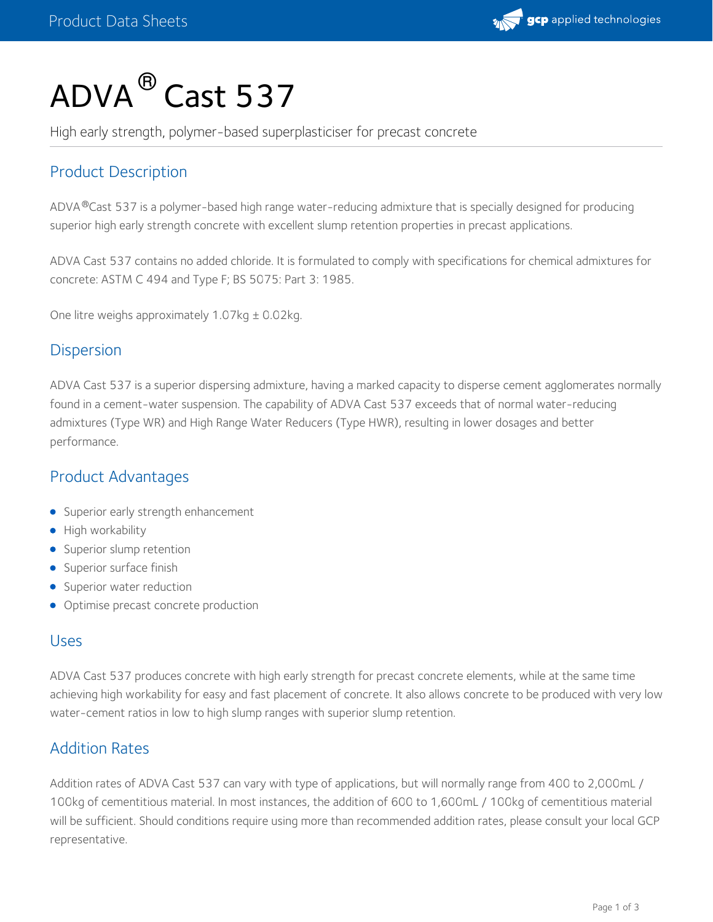

# $\mathsf{ADVA}^\circledR$  Cast 537

High early strength, polymer-based superplasticiser for precast concrete

# Product Description

ADVA®Cast 537 is a polymer-based high range water-reducing admixture that is specially designed for producing superior high early strength concrete with excellent slump retention properties in precast applications.

ADVA Cast 537 contains no added chloride. It is formulated to comply with specifications for chemical admixtures for concrete: ASTM C 494 and Type F; BS 5075: Part 3: 1985.

One litre weighs approximately 1.07kg ± 0.02kg.

## **Dispersion**

ADVA Cast 537 is a superior dispersing admixture, having a marked capacity to disperse cement agglomerates normally found in a cement-water suspension. The capability of ADVA Cast 537 exceeds that of normal water-reducing admixtures (Type WR) and High Range Water Reducers (Type HWR), resulting in lower dosages and better performance.

## Product Advantages

- **Superior early strength enhancement**
- High workability
- Superior slump retention
- **Superior surface finish**
- Superior water reduction
- Optimise precast concrete production

#### Uses

ADVA Cast 537 produces concrete with high early strength for precast concrete elements, while at the same time achieving high workability for easy and fast placement of concrete. It also allows concrete to be produced with very low water-cement ratios in low to high slump ranges with superior slump retention.

## Addition Rates

Addition rates of ADVA Cast 537 can vary with type of applications, but will normally range from 400 to 2,000mL / 100kg of cementitious material. In most instances, the addition of 600 to 1,600mL / 100kg of cementitious material will be sufficient. Should conditions require using more than recommended addition rates, please consult your local GCP representative.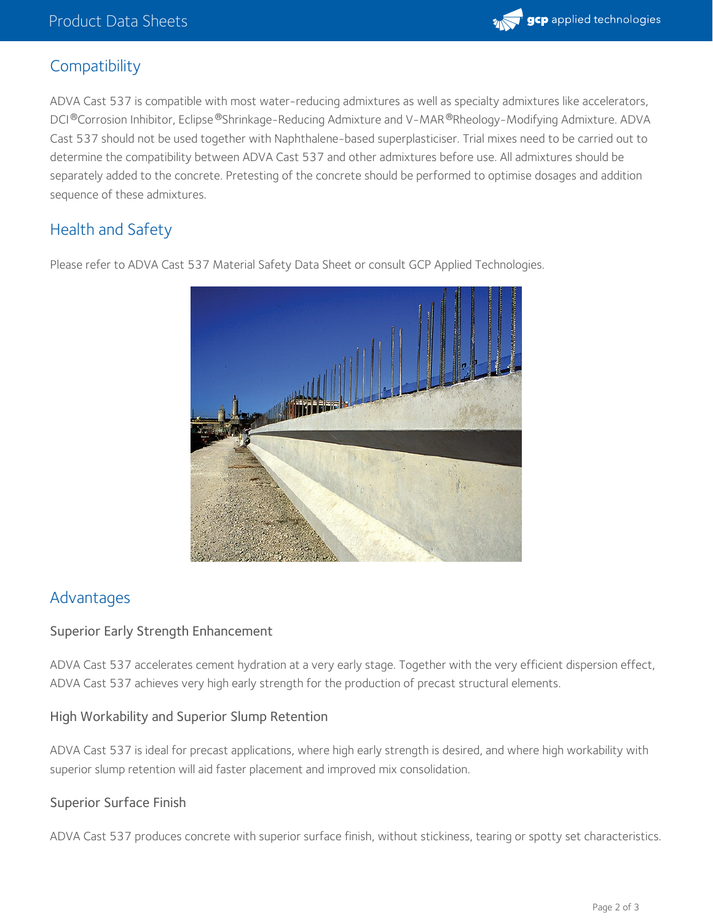

## **Compatibility**

ADVA Cast 537 is compatible with most water-reducing admixtures as well as specialty admixtures like accelerators, DCI®Corrosion Inhibitor, Eclipse®Shrinkage-Reducing Admixture and V-MAR®Rheology-Modifying Admixture. ADVA Cast 537 should not be used together with Naphthalene-based superplasticiser. Trial mixes need to be carried out to determine the compatibility between ADVA Cast 537 and other admixtures before use. All admixtures should be separately added to the concrete. Pretesting of the concrete should be performed to optimise dosages and addition sequence of these admixtures.

## Health and Safety

Please refer to ADVA Cast 537 Material Safety Data Sheet or consult GCP Applied Technologies.

## Advantages

#### Superior Early Strength Enhancement

ADVA Cast 537 accelerates cement hydration at a very early stage. Together with the very efficient dispersion effect, ADVA Cast 537 achieves very high early strength for the production of precast structural elements.

#### High Workability and Superior Slump Retention

ADVA Cast 537 is ideal for precast applications, where high early strength is desired, and where high workability with superior slump retention will aid faster placement and improved mix consolidation.

#### Superior Surface Finish

ADVA Cast 537 produces concrete with superior surface finish, without stickiness, tearing or spotty set characteristics.